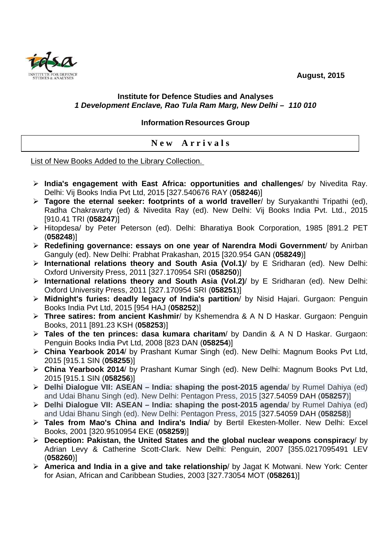**August, 2015** 



## **Institute for Defence Studies and Analyses 1 Development Enclave, Rao Tula Ram Marg, New Delhi – 110 010**

## **Information Resources Group**

**N e w A r r i v a l s** 

List of New Books Added to the Library Collection.

- **India's engagement with East Africa: opportunities and challenges**/ by Nivedita Ray. Delhi: Vij Books India Pvt Ltd, 2015 [327.540676 RAY (**058246**)]
- **Tagore the eternal seeker: footprints of a world traveller**/ by Suryakanthi Tripathi (ed), Radha Chakravarty (ed) & Nivedita Ray (ed). New Delhi: Vij Books India Pvt. Ltd., 2015 [910.41 TRI (**058247**)]
- Hitopdesa/ by Peter Peterson (ed). Delhi: Bharatiya Book Corporation, 1985 [891.2 PET (**058248**)]
- **Redefining governance: essays on one year of Narendra Modi Government**/ by Anirban Ganguly (ed). New Delhi: Prabhat Prakashan, 2015 [320.954 GAN (**058249**)]
- **International relations theory and South Asia (Vol.1)**/ by E Sridharan (ed). New Delhi: Oxford University Press, 2011 [327.170954 SRI (**058250**)]
- **International relations theory and South Asia (Vol.2)**/ by E Sridharan (ed). New Delhi: Oxford University Press, 2011 [327.170954 SRI (**058251**)]
- **Midnight's furies: deadly legacy of India's partition**/ by Nisid Hajari. Gurgaon: Penguin Books India Pvt Ltd, 2015 [954 HAJ (**058252**)]
- **Three satires: from ancient Kashmir**/ by Kshemendra & A N D Haskar. Gurgaon: Penguin Books, 2011 [891.23 KSH (**058253**)]
- **Tales of the ten princes: dasa kumara charitam**/ by Dandin & A N D Haskar. Gurgaon: Penguin Books India Pvt Ltd, 2008 [823 DAN (**058254**)]
- **China Yearbook 2014**/ by Prashant Kumar Singh (ed). New Delhi: Magnum Books Pvt Ltd, 2015 [915.1 SIN (**058255**)]
- **China Yearbook 2014**/ by Prashant Kumar Singh (ed). New Delhi: Magnum Books Pvt Ltd, 2015 [915.1 SIN (**058256**)]
- **Delhi Dialogue VII: ASEAN India: shaping the post-2015 agenda**/ by Rumel Dahiya (ed) and Udai Bhanu Singh (ed). New Delhi: Pentagon Press, 2015 [327.54059 DAH (**058257**)]
- **Delhi Dialogue VII: ASEAN India: shaping the post-2015 agenda**/ by Rumel Dahiya (ed) and Udai Bhanu Singh (ed). New Delhi: Pentagon Press, 2015 [327.54059 DAH (**058258**)]
- **Tales from Mao's China and Indira's India**/ by Bertil Ekesten-Moller. New Delhi: Excel Books, 2001 [320.9510954 EKE (**058259**)]
- **Deception: Pakistan, the United States and the global nuclear weapons conspiracy**/ by Adrian Levy & Catherine Scott-Clark. New Delhi: Penguin, 2007 [355.0217095491 LEV (**058260**)]
- **America and India in a give and take relationship**/ by Jagat K Motwani. New York: Center for Asian, African and Caribbean Studies, 2003 [327.73054 MOT (**058261**)]